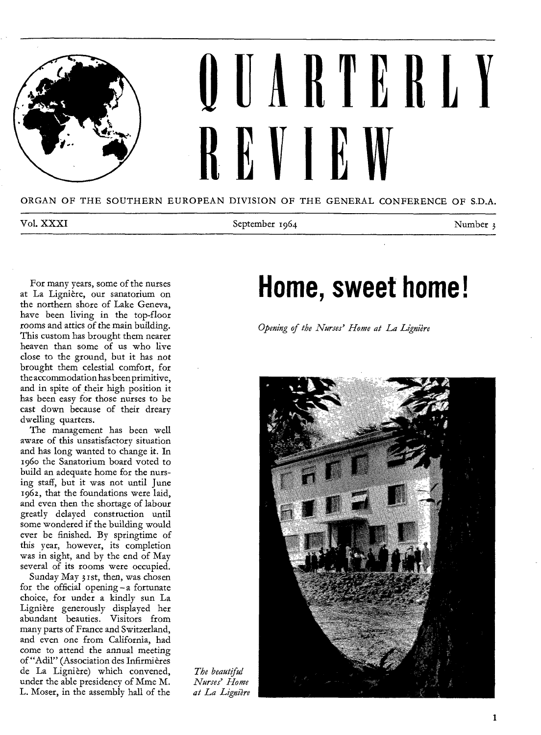

ORGAN OF THE SOUTHERN EUROPEAN DIVISION OF THE GENERAL CONFERENCE OF S.D.A.

Vol. XXXI Number 1964 September 1964 Number 3

For many years, some of the nurses at La Lignière, our sanatorium on the northern shore of Lake Geneva, have been living in the top-floor rooms and attics of the main building. This custom has brought them nearer heaven than some of us who live close to the ground, but it has not brought them celestial comfort, for the accommodation has been primitive, and in spite of their high position it has been easy for those nurses to be cast down because of their dreary dwelling quarters.

The management has been well aware of this unsatisfactory situation and has long wanted to change it. In 196o the Sanatorium board voted to build an adequate home for the nursing staff, but it was not until June 1962, that the foundations were laid, and even then the shortage of labour greatly delayed construction until some wondered if the building would ever be finished. By springtime of this year, however, its completion was in sight, and by the end of May several of its rooms were occupied.

Sunday May 3zst, then, was chosen for the official opening — a fortunate choice, for under a kindly sun La Ligniere generously displayed her abundant beauties. Visitors from many parts of France and Switzerland, and even one from California, had come to attend the annual meeting of "Adil" (Association des Infirmieres de La Ligniere) which convened, under the able presidency of Mme M. L. Moser, in the assembly hall of the

## **Home, sweet home!**

*Opening of the Nurses' Home at La Ligniere* 



*The beautiful Nurses' Home at La Ligniere*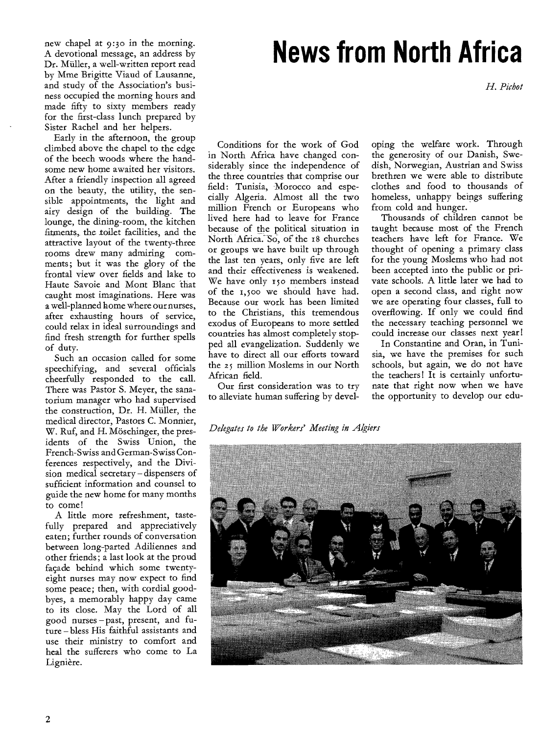new chapel at 9:3o in the morning. A devotional message, an address by Dr. Müller, a well-written report read by Mme Brigitte Viaud of Lausanne, and study of the Association's business occupied the morning hours and made fifty to sixty members ready for the first-class lunch prepared by Sister Rachel and her helpers.

Early in the afternoon, the group climbed above the chapel to the edge of the beech woods where the handsome new home awaited her visitors. After a friendly inspection all agreed on the beauty, the utility, the sensible appointments, the light and airy design of the building. The lounge, the dining-room, the kitchen fitments, the toilet facilities, and the attractive layout of the twenty-three rooms drew many admiring comments; but it was the glory of the frontal view over fields and lake to Haute Savoie and Mont Blanc that caught most imaginations. Here was a well-planned home where our nurses, after exhausting hours of service, could relax in ideal surroundings and find fresh strength for further spells of duty.

Such an occasion called for some speechifying, and several officials cheerfully responded to the call. There was Pastor S. Meyer, the sanatorium manager who had supervised the construction, Dr. H. Muller, the medical director, Pastors C. Monnier, W. Ruf, and H. Möschinger, the presidents of the Swiss Union, the French-Swiss and German-Swiss Conferences respectively, and the Division medical secretary — dispensers of sufficient information and counsel to guide the new home for many months to come!

A little more refreshment, tastefully prepared and appreciatively eaten; further rounds of conversation between long-parted Adiliennes and other friends; a last look at the proud facade behind which some twentyeight nurses may now expect to find some peace; then, with cordial goodbyes, a memorably happy day came to its close. May the Lord of all good nurses —past, present, and future — bless His faithful assistants and use their ministry to comfort and heal the sufferers who come to La Ligniere.

## **News from North Africa**

*H. Pichot* 

oping the welfare work. Through the generosity of our Danish, Swedish, Norwegian, Austrian and Swiss brethren we were able to distribute clothes and food to thousands of homeless, unhappy beings suffering

Thousands of children cannot be taught because most of the French teachers have left for France. We thought of opening a primary class for the young Moslems who had not been accepted into the public or private schools. A little later we had to open a second class, and right now we are operating four classes, full to overflowing. If only we could find the necessary teaching personnel we could increase our classes next year! In Constantine and Oran, in Tunisia, we have the premises for such schools, but again, we do not have the teachers ! It is certainly unfortunate that right now when we have the opportunity to develop our edu-

from cold and hunger.

Conditions for the work of God in North Africa have changed considerably since the independence of the three countries that comprise our field: Tunisia, Morocco and especially Algeria. Almost all the two million French or Europeans who lived here had to leave for France because of the political situation in North Africa: So, of the 18 churches or groups we have built up through the last ten years, only five are left and their effectiveness is weakened. We have only 150 members instead of the 1,500 we should have had. Because our work has been limited to the Christians, this tremendous exodus of Europeans to more settled countries has almost completely stopped all evangelization. Suddenly we have to direct all our efforts toward the 25 million Moslems in our North African field.

Our first consideration was to try to alleviate human suffering by devel-

*Delegates to the Workers' Meeting in Algiers* 

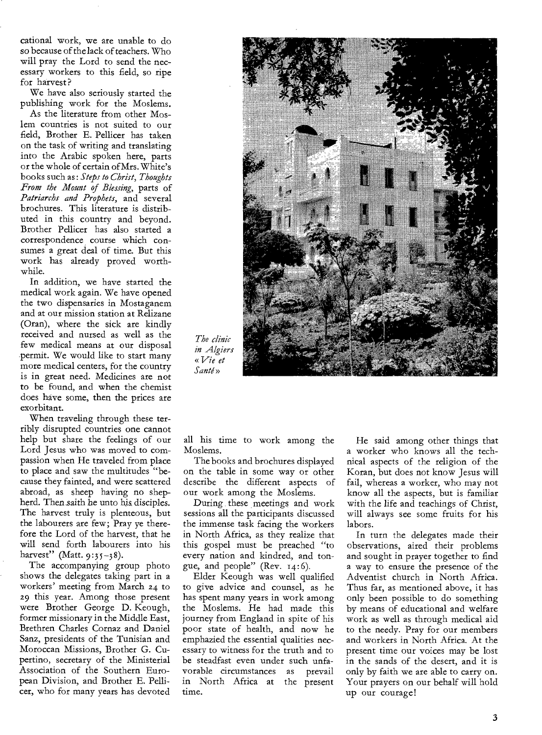cational work, we are unable to do so because of the lack of teachers. Who will pray the Lord to send the necessary workers to this field, so ripe for harvest?

We have also seriously started the publishing work for the Moslems.

As the literature from other Moslem countries is not suited to our field, Brother E. Pellicer has taken on the task of writing and translating into the Arabic spoken here, parts or the whole of certain of Mrs. White's books such as : *Steps to Christ, Thoughts From the Mount of Blessing,* parts of *Patriarchs and Prophets,* and several brochures. This literature is distributed in this country and beyond. Brother Pellicer has also started a correspondence course which consumes a great deal of time. But this work has already proved worthwhile.

In addition, we have started the medical work again. We have opened the two dispensaries in Mostaganem and at our mission station at Relizane (Oran), where the sick are kindly received and nursed as well as the few medical means at our disposal permit. We would like to start many more medical centers, for the country is in great need. Medicines are not to be found, and when the chemist does have some, then the prices are exorbitant.

When traveling through these terribly disrupted countries one cannot help but share the feelings of our Lord Jesus who was moved to compassion when He traveled from place to place and saw the multitudes "because they fainted, and were scattered abroad, as sheep having no shepherd. Then saith he unto his disciples. The harvest truly is plenteous, but the labourers are few; Pray ye therefore the Lord of the harvest, that he will send forth labourers into his harvest" (Matt.  $9:35-38$ ).

The accompanying group photo shows the delegates taking part in a workers' meeting from March 24 to 29 this year. Among those present were Brother George D. Keough, former missionary in the Middle East, Brethren Charles Cornaz and Daniel Sanz, presidents of the Tunisian and Moroccan Missions, Brother G. Cupertino, secretary of the Ministerial Association of the Southern European Division, and Brother E. Pellicer, who for many years has devoted



*The clinic in Algiers «Vie et Sante »* 

all his time to work among the Moslems.

The books and brochures displayed on the table in some way or other describe the different aspects of our work among the Moslems.

During these meetings and work sessions all the participants discussed the immense task facing the workers in North Africa, as they realize that this gospel must be preached "to every nation and kindred, and tongue, and people" (Rev. 14:6).

Elder Keough was well qualified to give advice and counsel, as he has spent many years in work among the Moslems. He had made this journey from England in spite of his poor state of health, and now he emphazied the essential qualities necessary to witness for the truth and to be steadfast even under such unfavorable circumstances as prevail in North Africa at the present time.

He said among other things that a worker who knows all the technical aspects of the religion of the Koran, but does not know Jesus will fail, whereas a worker, who may not know all the aspects, but is familiar with the life and teachings of Christ, will always see some fruits for his labors.

In turn the delegates made their observations, aired their problems and sought in prayer together to find a way to ensure the presence of the Adventist church in North Africa. Thus far, as mentioned above, it has only been possible to do something by means of educational and welfare work as well as through medical aid to the needy. Pray for our members and workers in North Africa. At the present time our voices may be lost in the sands of the desert, and it is only by faith we are able to carry on. Your prayers on our behalf will hold up our courage!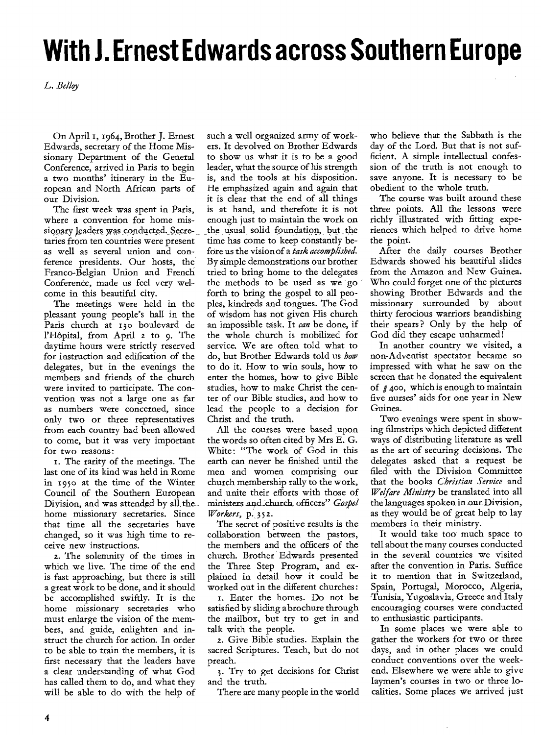# **With J. Ernest Edwards across Southern Europe**

*L. Belloy* 

On April 1, 1964, Brother J. Ernest Edwards, secretary of the Home Missionary Department of the General Conference, arrived in Paris to begin a two months' itinerary in the European and North African parts of our Division.

The first week was spent in Paris, where a convention for home missionary leaders was conducted. Secretaries from ten countries were present as well as several union and conference presidents. Our hosts, the Franco-Belgian Union and French Conference, made us feel very welcome in this beautiful city.

The meetings were held in the pleasant young people's hall in the Paris church at 130 boulevard de l'Hopital, from April z to 9. The daytime hours were strictly reserved for instruction and edification of the delegates, but in the evenings the members and friends of the church were invited to participate. The convention was not a large one as far as numbers were concerned, since only two or three representatives from each country had been allowed to come, but it was very important for two reasons:

. The rarity of the meetings. The last one of its kind was held in Rome in 195o at the time of the Winter Council of the Southern European Division, and was attended by all the home missionary secretaries. Since that time all the secretaries have changed, so it was high time to receive new instructions.

2. The solemnity of the times in which we live. The time of the end is fast approaching, but there is still a great work to be done, and it should be accomplished swiftly. It is the home missionary secretaries who must enlarge the vision of the members, and guide, enlighten and instruct the church for action. In order to be able to train the members, it is first necessary that the leaders have a clear understanding of what God has called them to do, and what they will be able to do with the help of

such a well organized army of workers. It devolved on Brother Edwards to show us what it is to be a good leader, what the source of his strength is, and the tools at his disposition. He emphasized again and again that it is clear that the end of all things is at hand, and therefore it is not enough just to maintain the work on the usual\_ solid foundation, but the time has come to keep constantly before us the vision of a *task accomplished.*  By simple demonstrations our brother tried to bring home to the delegates the methods to be used as we go forth to bring the gospel to all peoples, kindreds and tongues. The God of wisdom has not given His church an impossible task. It *can* be done, if the whole church is mobilized for service. We are often told what to do, but Brother Edwards told us *how*  to do it. How to win souls, how to enter the homes, how to give Bible studies, how to make Christ the center of our Bible studies, and how to lead the people to a decision for Christ and the truth.

All the courses were based upon the words so often cited by Mrs E. G. White: "The work of God in this earth can never be finished until the men and women comprising our church membership rally to the work, and unite their efforts with those of ministers \_and\_ church officers" *Gospel Workers,* p. 35 2.

The secret of positive results is the collaboration between the pastors, the members and the officers of the church. Brother Edwards presented the Three Step Program, and explained in detail how it could be worked out in the different churches :

s. Enter the homes. Do not be satisfied by sliding a brochure through the mailbox, but try to get in and talk with the people.

a. Give Bible studies. Explain the sacred Scriptures. Teach, but do not preach.

3. Try to get decisions for Christ and the truth.

There are many people in the world

who believe that the Sabbath is the day of the Lord. But that is not sufficient. A simple intellectual confession of the truth is not enough to save anyone. It is necessary to be obedient to the whole truth.

The course was built around these three points. All the lessons were richly illustrated with fitting experiences which helped to drive home the point.

After the daily courses Brother Edwards showed his beautiful slides from the Amazon and New Guinea. Who could forget one of the pictures showing Brother Edwards and the missionary surrounded by about thirty ferocious warriors brandishing their spears ? Only by the help of God did they escape unharmed!

In another country we visited, a non-Adventist spectator became so impressed with what he saw on the screen that he donated the equivalent of  $\hat{\mathcal{A}}$  400, which is enough to maintain five nurses' aids for one year in New Guinea.

Two evenings were spent in showing filmstrips which depicted different ways of distributing literature as well as the art of securing decisions. The delegates asked that a request be filed with the Division Committee that the books *Christian Service* and *Welfare Ministry* be translated into all the languages spoken in our Division, as they would be of great help to lay members in their ministry.

It would take too much space to tell about the many courses conducted in the several countries we visited after the convention in Paris. Suffice it to mention that in Switzerland, Spain, Portugal, Morocco, Algeria, -Tunisia, Yugoslavia, Greece and Italy encouraging courses were conducted to enthusiastic participants.

In some places we were able to gather the workers for two or three days, and in other places we could conduct conventions over the weekend. Elsewhere we were able to give laymen's courses in two or three localities. Some places we arrived just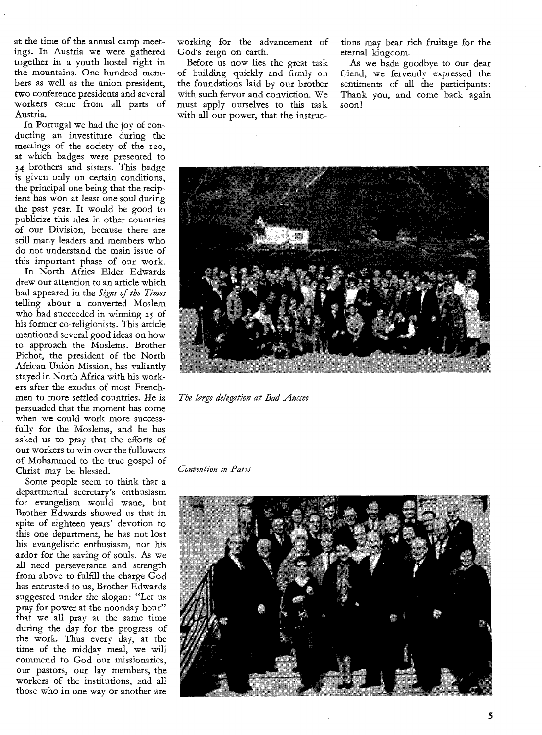at the time of the annual camp meetings. In Austria we were gathered together in a youth hostel right in the mountains. One hundred members as well as the union president, two conference presidents and several workers came from all parts of Austria.

In Portugal we had the joy of conducting an investiture during the meetings of the society of the izo, at which badges were presented to 34 brothers and sisters. This badge is given only on certain conditions, the principal one being that the recipient has won at least one soul during the past year. It would be good to publicize this idea in other countries of our Division, because there are still many leaders and members who do not understand the main issue of this important phase of our work.

In North Africa Elder Edwards drew our attention to an article which had appeared in the *Signs of the Times*  telling about a converted Moslem who had succeeded in winning 25 of his former co-religionists. This article mentioned several good ideas on how to approach the Moslems. Brother Pichot, the president of the North African Union Mission, has valiantly stayed in North Africa with his workers after the exodus of most Frenchmen to more settled countries. He is persuaded that the moment has come when we could work more successfully for the Moslems, and he has asked us to pray that the efforts of our workers to win over the followers of Mohammed to the true gospel of Christ may be blessed.

Some people seem to think that a departmental secretary's enthusiasm for evangelism would wane, but Brother Edwards showed us that in spite of eighteen years' devotion to this one department, he has not lost his evangelistic enthusiasm, nor his ardor for the saving of souls. As we all need perseverance and strength from above to fulfill the charge God has entrusted to us, Brother Edwards suggested under the slogan: "Let us pray for power at the noonday hour" that we all pray at the same time during the day for the progress of the work. Thus every day, at the time of the midday meal, we will commend to God our missionaries, our pastors, our lay members, the workers of the institutions, and all those who in one way or another are

working for the advancement of God's reign on earth.

Before us now lies the great task of building quickly and firmly on the foundations laid by our brother with such fervor and conviction. We must apply ourselves to this task with all our power, that the instructions may bear rich fruitage for the eternal kingdom.

As we bade goodbye to our dear friend, we fervently expressed the sentiments of all the participants: Thank you, and come back again soon!



*The large delegation at Bad Aussee* 

*Convention in Paris* 

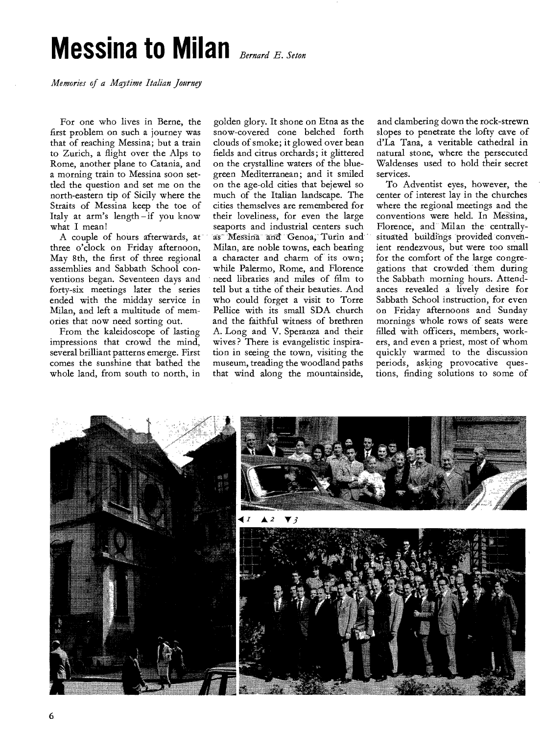# **Messina to Milan** *Bernard E. Seton*

*Memories of a Maytime Italian Journey* 

For one who lives in Berne, the first problem on such a journey was that of reaching Messina; but a train to Zurich, a flight over the Alps to Rome, another plane to Catania, and a morning train to Messina soon settled the question and set me on the north-eastern tip of Sicily where the Straits of Messina keep the toe of Italy at arm's length — if you know what I mean!

A couple of hours afterwards, at three o'clock on Friday afternoon, May 8th, the first of three regional assemblies and Sabbath School conventions began. Seventeen days and forty-six meetings later the series ended with the midday service in Milan, and left a multitude of memories that now need sorting out.

From the kaleidoscope of lasting impressions that crowd the mind, several brilliant patterns emerge. First comes the sunshine that bathed the whole land, from south to north, in golden glory. It shone on Etna as the snow-covered cone belched forth clouds of smoke; it glowed over bean fields and citrus orchards; it glittered on the crystalline waters of the bluegreen Mediterranean; and it smiled on the age-old cities that bejewel so much of the Italian landscape. The cities themselves are remembered for their loveliness, for even the large seaports and industrial centers such as-Messina and Genoa, Turin and Milan, are noble towns, each bearing a character and charm of its own; while Palermo, Rome, and Florence need libraries and miles of film to tell but a tithe of their beauties. And who could forget a visit to Torre Pellice with its small SDA church and the faithful witness of brethren A. Long and V. Speranza and their wives ? There is evangelistic inspiration in seeing the town, visiting the museum, treading the woodland paths that wind along the mountainside,

and clambering down the rock-strewn slopes to penetrate the lofty cave of d'La Tana, a veritable cathedral in natural stone, where the persecuted Waldenses used to hold their secret services.

To Adventist eyes, however, the center of interest lay in the churches where the regional meetings and the conventions were held. In Messina, Florence, and Milan the centrallysituated buildings provided convenient rendezvous, but were too small for the comfort of the large congregations that crowded them during the Sabbath morning hours. Attendances revealed a lively desire for Sabbath School instruction, for even on Friday afternoons and Sunday mornings whole rows of seats were filled with officers, members, workers, and even a priest, most of whom quickly warmed to the discussion periods, asking provocative questions, finding solutions to some of

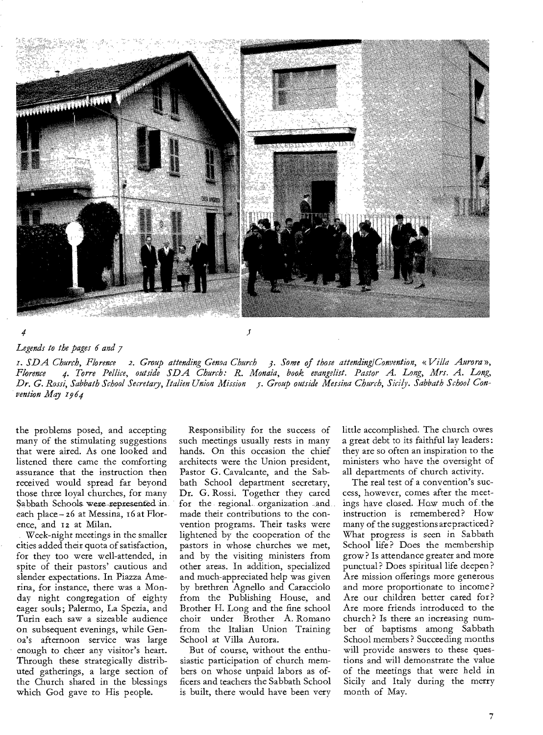

 $\mathfrak{z}$ 

*Legends to the pages 6 and 7* 

*4* 

*z. SDA Church, Florence 2. Group attending Genoa Church 3. Some of those attending/Convention, «Villa Aurora », Florence 4. Torre Pellice, outside SDA Church: R. Monaia, book evangelist. Pastor A. Long, Mrs. A. Long, Dr. G. Rossi, Sabbath School Secretary, Italien Union Mission* f. *Group outside Messina Church, Sicily. Sabbath School Convention May 1964* 

the problems posed, and accepting many of the stimulating suggestions that were aired. As one looked and listened there came the comforting assurance that the instruction then received would spread far beyond those three loyal churches, for many Sabbath Schools were represented in. each place — z6 at Messina, 16 at Florence, and 12 at Milan.

Week-night meetings in the smaller cities added their quota of satisfaction, for they too were well-attended, in spite of their pastors' cautious and slender expectations. In Piazza Amerina, for instance, there was a Monday night congregation of eighty eager souls; Palermo, La Spezia, and Turin each saw a sizeable audience on subsequent evenings, while Genoa's afternoon service was large enough to cheer any visitor's heart. Through these strategically distributed gatherings, a large section of the Church shared in the blessings which God gave to His people.

Responsibility for the success of such meetings usually rests in many hands. On this occasion the chief architects were the Union president, Pastor G. Cavalcante, and the Sabbath School department secretary, Dr. G. Rossi. Together they cared for the regional. organization and made their contributions to the convention programs. Their tasks were lightened by the cooperation of the pastors in whose churches we met, and by the visiting ministers from other areas. In addition, specialized and much-appreciated help was given by brethren Agnello and Caracciolo from the Publishing House, and Brother H. Long and the fine school choir under Brother A. Romano from the Italian Union Training School at Villa Aurora.

But of course, without the enthusiastic participation of church members on whose unpaid labors as officers and teachers the Sabbath School is built, there would have been very

little accomplished. The church owes a great debt to its faithful lay leaders : they are so often an inspiration to the ministers who have the oversight of all departments of church activity.

The real test of a convention's success, however, comes after the meetings have closed. Haw much of the instruction is remembered? How many of the suggestions are practiced? What progress is seen in Sabbath School life? Does the membership grow? Is attendance greater and more punctual? Does spiritual life deepen? Are mission offerings more generous and more proportionate to income ? Are our children better cared for? Are more friends introduced to the church? Is there an increasing number of baptisms among Sabbath School members ? Succeeding months will provide answers to these questions and will demonstrate the value of the meetings that were held in Sicily and Italy during the merry month of May.